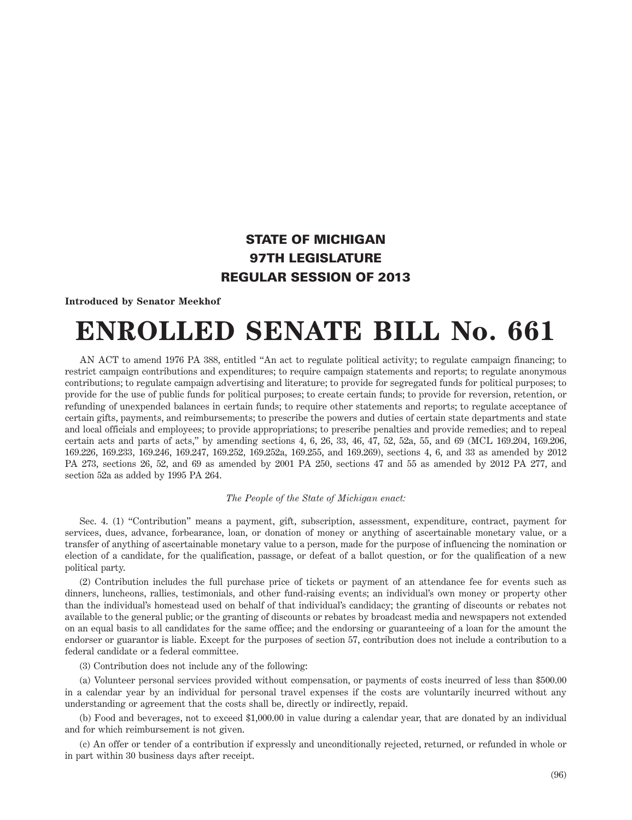## STATE OF MICHIGAN 97TH LEGISLATURE REGULAR SESSION OF 2013

**Introduced by Senator Meekhof**

## **ENROLLED SENATE BILL No. 661**

AN ACT to amend 1976 PA 388, entitled "An act to regulate political activity; to regulate campaign financing; to restrict campaign contributions and expenditures; to require campaign statements and reports; to regulate anonymous contributions; to regulate campaign advertising and literature; to provide for segregated funds for political purposes; to provide for the use of public funds for political purposes; to create certain funds; to provide for reversion, retention, or refunding of unexpended balances in certain funds; to require other statements and reports; to regulate acceptance of certain gifts, payments, and reimbursements; to prescribe the powers and duties of certain state departments and state and local officials and employees; to provide appropriations; to prescribe penalties and provide remedies; and to repeal certain acts and parts of acts," by amending sections 4, 6, 26, 33, 46, 47, 52, 52a, 55, and 69 (MCL 169.204, 169.206, 169.226, 169.233, 169.246, 169.247, 169.252, 169.252a, 169.255, and 169.269), sections 4, 6, and 33 as amended by 2012 PA 273, sections 26, 52, and 69 as amended by 2001 PA 250, sections 47 and 55 as amended by 2012 PA 277, and section 52a as added by 1995 PA 264.

## *The People of the State of Michigan enact:*

Sec. 4. (1) "Contribution" means a payment, gift, subscription, assessment, expenditure, contract, payment for services, dues, advance, forbearance, loan, or donation of money or anything of ascertainable monetary value, or a transfer of anything of ascertainable monetary value to a person, made for the purpose of influencing the nomination or election of a candidate, for the qualification, passage, or defeat of a ballot question, or for the qualification of a new political party.

(2) Contribution includes the full purchase price of tickets or payment of an attendance fee for events such as dinners, luncheons, rallies, testimonials, and other fund-raising events; an individual's own money or property other than the individual's homestead used on behalf of that individual's candidacy; the granting of discounts or rebates not available to the general public; or the granting of discounts or rebates by broadcast media and newspapers not extended on an equal basis to all candidates for the same office; and the endorsing or guaranteeing of a loan for the amount the endorser or guarantor is liable. Except for the purposes of section 57, contribution does not include a contribution to a federal candidate or a federal committee.

(3) Contribution does not include any of the following:

(a) Volunteer personal services provided without compensation, or payments of costs incurred of less than \$500.00 in a calendar year by an individual for personal travel expenses if the costs are voluntarily incurred without any understanding or agreement that the costs shall be, directly or indirectly, repaid.

(b) Food and beverages, not to exceed \$1,000.00 in value during a calendar year, that are donated by an individual and for which reimbursement is not given.

(c) An offer or tender of a contribution if expressly and unconditionally rejected, returned, or refunded in whole or in part within 30 business days after receipt.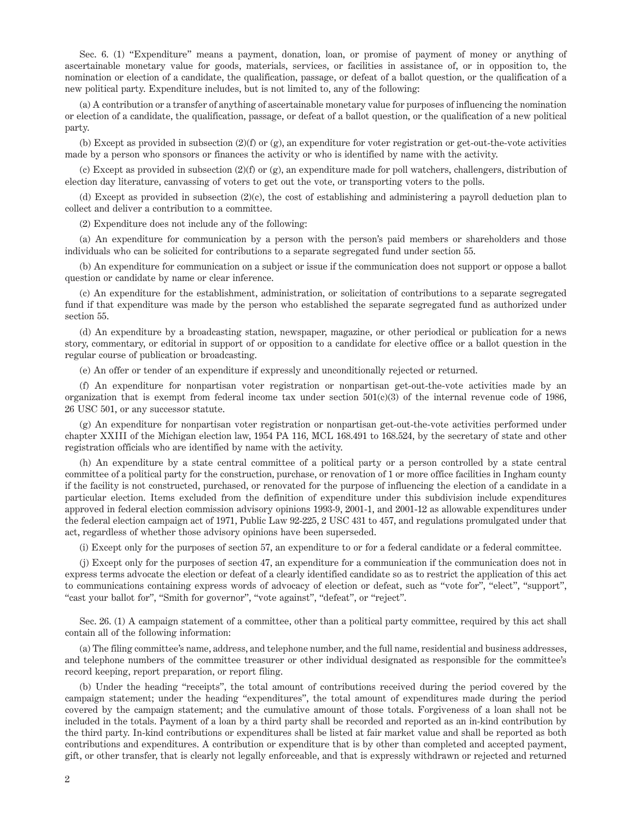Sec. 6. (1) "Expenditure" means a payment, donation, loan, or promise of payment of money or anything of ascertainable monetary value for goods, materials, services, or facilities in assistance of, or in opposition to, the nomination or election of a candidate, the qualification, passage, or defeat of a ballot question, or the qualification of a new political party. Expenditure includes, but is not limited to, any of the following:

(a) A contribution or a transfer of anything of ascertainable monetary value for purposes of influencing the nomination or election of a candidate, the qualification, passage, or defeat of a ballot question, or the qualification of a new political party.

(b) Except as provided in subsection (2)(f) or (g), an expenditure for voter registration or get-out-the-vote activities made by a person who sponsors or finances the activity or who is identified by name with the activity.

(c) Except as provided in subsection (2)(f) or (g), an expenditure made for poll watchers, challengers, distribution of election day literature, canvassing of voters to get out the vote, or transporting voters to the polls.

(d) Except as provided in subsection (2)(c), the cost of establishing and administering a payroll deduction plan to collect and deliver a contribution to a committee.

(2) Expenditure does not include any of the following:

(a) An expenditure for communication by a person with the person's paid members or shareholders and those individuals who can be solicited for contributions to a separate segregated fund under section 55.

(b) An expenditure for communication on a subject or issue if the communication does not support or oppose a ballot question or candidate by name or clear inference.

(c) An expenditure for the establishment, administration, or solicitation of contributions to a separate segregated fund if that expenditure was made by the person who established the separate segregated fund as authorized under section 55.

(d) An expenditure by a broadcasting station, newspaper, magazine, or other periodical or publication for a news story, commentary, or editorial in support of or opposition to a candidate for elective office or a ballot question in the regular course of publication or broadcasting.

(e) An offer or tender of an expenditure if expressly and unconditionally rejected or returned.

(f) An expenditure for nonpartisan voter registration or nonpartisan get-out-the-vote activities made by an organization that is exempt from federal income tax under section  $501(c)(3)$  of the internal revenue code of 1986, 26 USC 501, or any successor statute.

(g) An expenditure for nonpartisan voter registration or nonpartisan get-out-the-vote activities performed under chapter XXIII of the Michigan election law, 1954 PA 116, MCL 168.491 to 168.524, by the secretary of state and other registration officials who are identified by name with the activity.

(h) An expenditure by a state central committee of a political party or a person controlled by a state central committee of a political party for the construction, purchase, or renovation of 1 or more office facilities in Ingham county if the facility is not constructed, purchased, or renovated for the purpose of influencing the election of a candidate in a particular election. Items excluded from the definition of expenditure under this subdivision include expenditures approved in federal election commission advisory opinions 1993-9, 2001-1, and 2001-12 as allowable expenditures under the federal election campaign act of 1971, Public Law 92-225, 2 USC 431 to 457, and regulations promulgated under that act, regardless of whether those advisory opinions have been superseded.

(i) Except only for the purposes of section 57, an expenditure to or for a federal candidate or a federal committee.

(j) Except only for the purposes of section 47, an expenditure for a communication if the communication does not in express terms advocate the election or defeat of a clearly identified candidate so as to restrict the application of this act to communications containing express words of advocacy of election or defeat, such as "vote for", "elect", "support", "cast your ballot for", "Smith for governor", "vote against", "defeat", or "reject".

Sec. 26. (1) A campaign statement of a committee, other than a political party committee, required by this act shall contain all of the following information:

(a) The filing committee's name, address, and telephone number, and the full name, residential and business addresses, and telephone numbers of the committee treasurer or other individual designated as responsible for the committee's record keeping, report preparation, or report filing.

(b) Under the heading "receipts", the total amount of contributions received during the period covered by the campaign statement; under the heading "expenditures", the total amount of expenditures made during the period covered by the campaign statement; and the cumulative amount of those totals. Forgiveness of a loan shall not be included in the totals. Payment of a loan by a third party shall be recorded and reported as an in-kind contribution by the third party. In-kind contributions or expenditures shall be listed at fair market value and shall be reported as both contributions and expenditures. A contribution or expenditure that is by other than completed and accepted payment, gift, or other transfer, that is clearly not legally enforceable, and that is expressly withdrawn or rejected and returned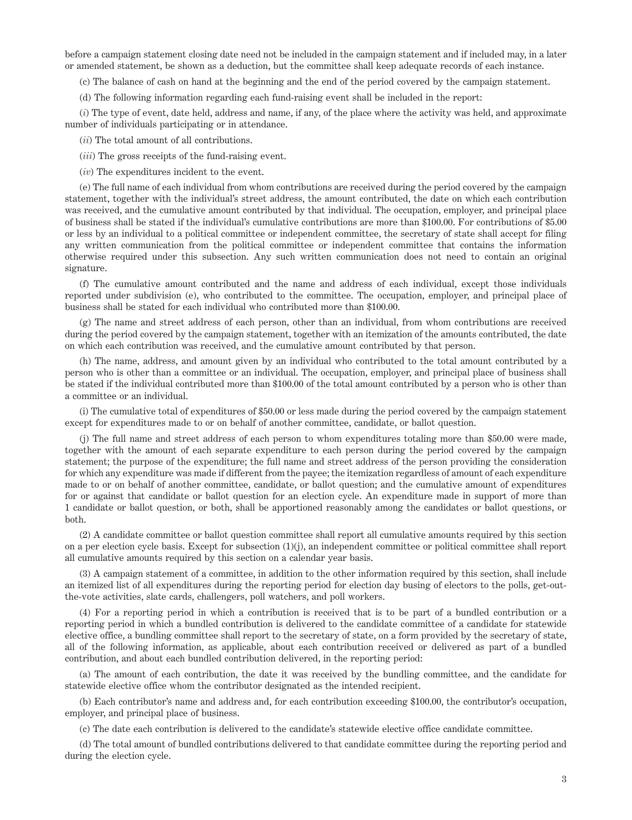before a campaign statement closing date need not be included in the campaign statement and if included may, in a later or amended statement, be shown as a deduction, but the committee shall keep adequate records of each instance.

(c) The balance of cash on hand at the beginning and the end of the period covered by the campaign statement.

(d) The following information regarding each fund-raising event shall be included in the report:

(*i*) The type of event, date held, address and name, if any, of the place where the activity was held, and approximate number of individuals participating or in attendance.

(*ii*) The total amount of all contributions.

(*iii*) The gross receipts of the fund-raising event.

(*iv*) The expenditures incident to the event.

(e) The full name of each individual from whom contributions are received during the period covered by the campaign statement, together with the individual's street address, the amount contributed, the date on which each contribution was received, and the cumulative amount contributed by that individual. The occupation, employer, and principal place of business shall be stated if the individual's cumulative contributions are more than \$100.00. For contributions of \$5.00 or less by an individual to a political committee or independent committee, the secretary of state shall accept for filing any written communication from the political committee or independent committee that contains the information otherwise required under this subsection. Any such written communication does not need to contain an original signature.

(f) The cumulative amount contributed and the name and address of each individual, except those individuals reported under subdivision (e), who contributed to the committee. The occupation, employer, and principal place of business shall be stated for each individual who contributed more than \$100.00.

(g) The name and street address of each person, other than an individual, from whom contributions are received during the period covered by the campaign statement, together with an itemization of the amounts contributed, the date on which each contribution was received, and the cumulative amount contributed by that person.

(h) The name, address, and amount given by an individual who contributed to the total amount contributed by a person who is other than a committee or an individual. The occupation, employer, and principal place of business shall be stated if the individual contributed more than \$100.00 of the total amount contributed by a person who is other than a committee or an individual.

(i) The cumulative total of expenditures of \$50.00 or less made during the period covered by the campaign statement except for expenditures made to or on behalf of another committee, candidate, or ballot question.

(j) The full name and street address of each person to whom expenditures totaling more than \$50.00 were made, together with the amount of each separate expenditure to each person during the period covered by the campaign statement; the purpose of the expenditure; the full name and street address of the person providing the consideration for which any expenditure was made if different from the payee; the itemization regardless of amount of each expenditure made to or on behalf of another committee, candidate, or ballot question; and the cumulative amount of expenditures for or against that candidate or ballot question for an election cycle. An expenditure made in support of more than 1 candidate or ballot question, or both, shall be apportioned reasonably among the candidates or ballot questions, or both.

(2) A candidate committee or ballot question committee shall report all cumulative amounts required by this section on a per election cycle basis. Except for subsection (1)(j), an independent committee or political committee shall report all cumulative amounts required by this section on a calendar year basis.

(3) A campaign statement of a committee, in addition to the other information required by this section, shall include an itemized list of all expenditures during the reporting period for election day busing of electors to the polls, get-outthe-vote activities, slate cards, challengers, poll watchers, and poll workers.

(4) For a reporting period in which a contribution is received that is to be part of a bundled contribution or a reporting period in which a bundled contribution is delivered to the candidate committee of a candidate for statewide elective office, a bundling committee shall report to the secretary of state, on a form provided by the secretary of state, all of the following information, as applicable, about each contribution received or delivered as part of a bundled contribution, and about each bundled contribution delivered, in the reporting period:

(a) The amount of each contribution, the date it was received by the bundling committee, and the candidate for statewide elective office whom the contributor designated as the intended recipient.

(b) Each contributor's name and address and, for each contribution exceeding \$100.00, the contributor's occupation, employer, and principal place of business.

(c) The date each contribution is delivered to the candidate's statewide elective office candidate committee.

(d) The total amount of bundled contributions delivered to that candidate committee during the reporting period and during the election cycle.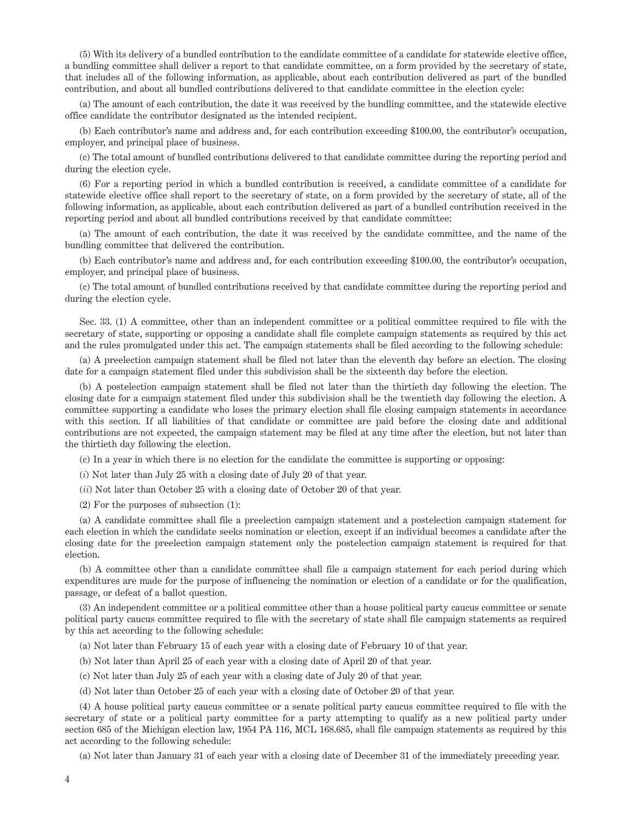(5) With its delivery of a bundled contribution to the candidate committee of a candidate for statewide elective office, a bundling committee shall deliver a report to that candidate committee, on a form provided by the secretary of state, that includes all of the following information, as applicable, about each contribution delivered as part of the bundled contribution, and about all bundled contributions delivered to that candidate committee in the election cycle:

(a) The amount of each contribution, the date it was received by the bundling committee, and the statewide elective office candidate the contributor designated as the intended recipient.

(b) Each contributor's name and address and, for each contribution exceeding \$100.00, the contributor's occupation, employer, and principal place of business.

(c) The total amount of bundled contributions delivered to that candidate committee during the reporting period and during the election cycle.

(6) For a reporting period in which a bundled contribution is received, a candidate committee of a candidate for statewide elective office shall report to the secretary of state, on a form provided by the secretary of state, all of the following information, as applicable, about each contribution delivered as part of a bundled contribution received in the reporting period and about all bundled contributions received by that candidate committee:

(a) The amount of each contribution, the date it was received by the candidate committee, and the name of the bundling committee that delivered the contribution.

(b) Each contributor's name and address and, for each contribution exceeding \$100.00, the contributor's occupation, employer, and principal place of business.

(c) The total amount of bundled contributions received by that candidate committee during the reporting period and during the election cycle.

Sec. 33. (1) A committee, other than an independent committee or a political committee required to file with the secretary of state, supporting or opposing a candidate shall file complete campaign statements as required by this act and the rules promulgated under this act. The campaign statements shall be filed according to the following schedule:

(a) A preelection campaign statement shall be filed not later than the eleventh day before an election. The closing date for a campaign statement filed under this subdivision shall be the sixteenth day before the election.

(b) A postelection campaign statement shall be filed not later than the thirtieth day following the election. The closing date for a campaign statement filed under this subdivision shall be the twentieth day following the election. A committee supporting a candidate who loses the primary election shall file closing campaign statements in accordance with this section. If all liabilities of that candidate or committee are paid before the closing date and additional contributions are not expected, the campaign statement may be filed at any time after the election, but not later than the thirtieth day following the election.

(c) In a year in which there is no election for the candidate the committee is supporting or opposing:

(*i*) Not later than July 25 with a closing date of July 20 of that year.

(*ii*) Not later than October 25 with a closing date of October 20 of that year.

(2) For the purposes of subsection (1):

(a) A candidate committee shall file a preelection campaign statement and a postelection campaign statement for each election in which the candidate seeks nomination or election, except if an individual becomes a candidate after the closing date for the preelection campaign statement only the postelection campaign statement is required for that election.

(b) A committee other than a candidate committee shall file a campaign statement for each period during which expenditures are made for the purpose of influencing the nomination or election of a candidate or for the qualification, passage, or defeat of a ballot question.

(3) An independent committee or a political committee other than a house political party caucus committee or senate political party caucus committee required to file with the secretary of state shall file campaign statements as required by this act according to the following schedule:

(a) Not later than February 15 of each year with a closing date of February 10 of that year.

(b) Not later than April 25 of each year with a closing date of April 20 of that year.

(c) Not later than July 25 of each year with a closing date of July 20 of that year.

(d) Not later than October 25 of each year with a closing date of October 20 of that year.

(4) A house political party caucus committee or a senate political party caucus committee required to file with the secretary of state or a political party committee for a party attempting to qualify as a new political party under section 685 of the Michigan election law, 1954 PA 116, MCL 168.685, shall file campaign statements as required by this act according to the following schedule:

(a) Not later than January 31 of each year with a closing date of December 31 of the immediately preceding year.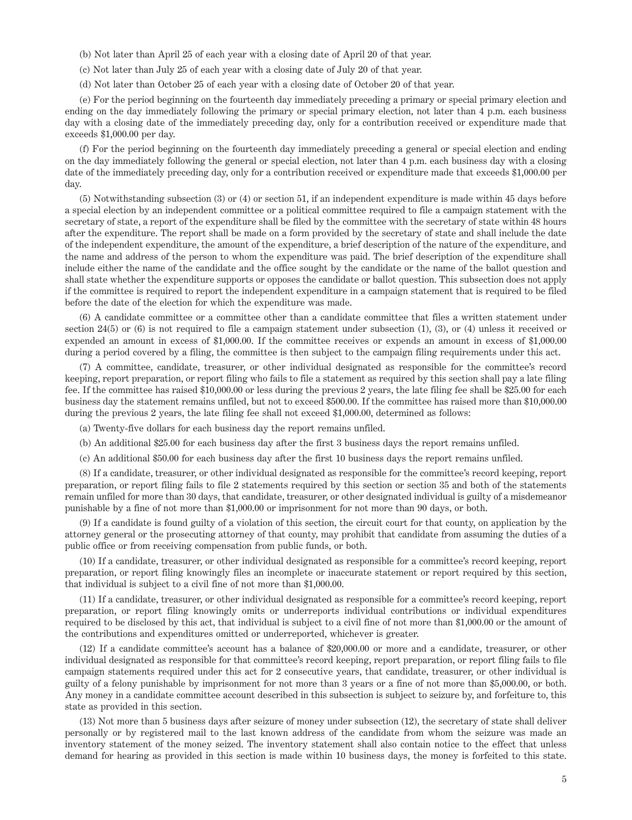(b) Not later than April 25 of each year with a closing date of April 20 of that year.

(c) Not later than July 25 of each year with a closing date of July 20 of that year.

(d) Not later than October 25 of each year with a closing date of October 20 of that year.

(e) For the period beginning on the fourteenth day immediately preceding a primary or special primary election and ending on the day immediately following the primary or special primary election, not later than 4 p.m. each business day with a closing date of the immediately preceding day, only for a contribution received or expenditure made that exceeds \$1,000.00 per day.

(f) For the period beginning on the fourteenth day immediately preceding a general or special election and ending on the day immediately following the general or special election, not later than 4 p.m. each business day with a closing date of the immediately preceding day, only for a contribution received or expenditure made that exceeds \$1,000.00 per day.

(5) Notwithstanding subsection (3) or (4) or section 51, if an independent expenditure is made within 45 days before a special election by an independent committee or a political committee required to file a campaign statement with the secretary of state, a report of the expenditure shall be filed by the committee with the secretary of state within 48 hours after the expenditure. The report shall be made on a form provided by the secretary of state and shall include the date of the independent expenditure, the amount of the expenditure, a brief description of the nature of the expenditure, and the name and address of the person to whom the expenditure was paid. The brief description of the expenditure shall include either the name of the candidate and the office sought by the candidate or the name of the ballot question and shall state whether the expenditure supports or opposes the candidate or ballot question. This subsection does not apply if the committee is required to report the independent expenditure in a campaign statement that is required to be filed before the date of the election for which the expenditure was made.

(6) A candidate committee or a committee other than a candidate committee that files a written statement under section 24(5) or (6) is not required to file a campaign statement under subsection (1), (3), or (4) unless it received or expended an amount in excess of \$1,000.00. If the committee receives or expends an amount in excess of \$1,000.00 during a period covered by a filing, the committee is then subject to the campaign filing requirements under this act.

(7) A committee, candidate, treasurer, or other individual designated as responsible for the committee's record keeping, report preparation, or report filing who fails to file a statement as required by this section shall pay a late filing fee. If the committee has raised \$10,000.00 or less during the previous 2 years, the late filing fee shall be \$25.00 for each business day the statement remains unfiled, but not to exceed \$500.00. If the committee has raised more than \$10,000.00 during the previous 2 years, the late filing fee shall not exceed \$1,000.00, determined as follows:

(a) Twenty-five dollars for each business day the report remains unfiled.

(b) An additional \$25.00 for each business day after the first 3 business days the report remains unfiled.

(c) An additional \$50.00 for each business day after the first 10 business days the report remains unfiled.

(8) If a candidate, treasurer, or other individual designated as responsible for the committee's record keeping, report preparation, or report filing fails to file 2 statements required by this section or section 35 and both of the statements remain unfiled for more than 30 days, that candidate, treasurer, or other designated individual is guilty of a misdemeanor punishable by a fine of not more than \$1,000.00 or imprisonment for not more than 90 days, or both.

(9) If a candidate is found guilty of a violation of this section, the circuit court for that county, on application by the attorney general or the prosecuting attorney of that county, may prohibit that candidate from assuming the duties of a public office or from receiving compensation from public funds, or both.

(10) If a candidate, treasurer, or other individual designated as responsible for a committee's record keeping, report preparation, or report filing knowingly files an incomplete or inaccurate statement or report required by this section, that individual is subject to a civil fine of not more than \$1,000.00.

(11) If a candidate, treasurer, or other individual designated as responsible for a committee's record keeping, report preparation, or report filing knowingly omits or underreports individual contributions or individual expenditures required to be disclosed by this act, that individual is subject to a civil fine of not more than \$1,000.00 or the amount of the contributions and expenditures omitted or underreported, whichever is greater.

(12) If a candidate committee's account has a balance of \$20,000.00 or more and a candidate, treasurer, or other individual designated as responsible for that committee's record keeping, report preparation, or report filing fails to file campaign statements required under this act for 2 consecutive years, that candidate, treasurer, or other individual is guilty of a felony punishable by imprisonment for not more than 3 years or a fine of not more than \$5,000.00, or both. Any money in a candidate committee account described in this subsection is subject to seizure by, and forfeiture to, this state as provided in this section.

(13) Not more than 5 business days after seizure of money under subsection (12), the secretary of state shall deliver personally or by registered mail to the last known address of the candidate from whom the seizure was made an inventory statement of the money seized. The inventory statement shall also contain notice to the effect that unless demand for hearing as provided in this section is made within 10 business days, the money is forfeited to this state.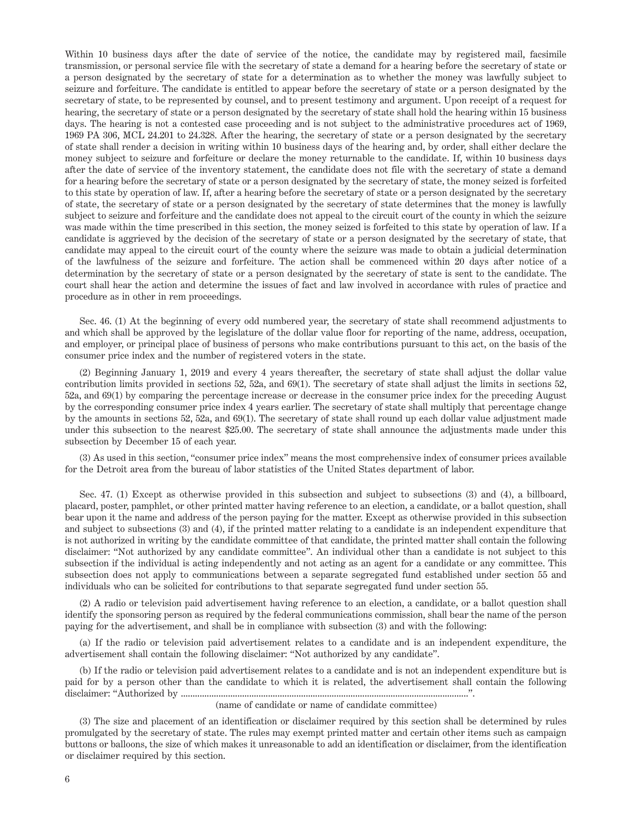Within 10 business days after the date of service of the notice, the candidate may by registered mail, facsimile transmission, or personal service file with the secretary of state a demand for a hearing before the secretary of state or a person designated by the secretary of state for a determination as to whether the money was lawfully subject to seizure and forfeiture. The candidate is entitled to appear before the secretary of state or a person designated by the secretary of state, to be represented by counsel, and to present testimony and argument. Upon receipt of a request for hearing, the secretary of state or a person designated by the secretary of state shall hold the hearing within 15 business days. The hearing is not a contested case proceeding and is not subject to the administrative procedures act of 1969, 1969 PA 306, MCL 24.201 to 24.328. After the hearing, the secretary of state or a person designated by the secretary of state shall render a decision in writing within 10 business days of the hearing and, by order, shall either declare the money subject to seizure and forfeiture or declare the money returnable to the candidate. If, within 10 business days after the date of service of the inventory statement, the candidate does not file with the secretary of state a demand for a hearing before the secretary of state or a person designated by the secretary of state, the money seized is forfeited to this state by operation of law. If, after a hearing before the secretary of state or a person designated by the secretary of state, the secretary of state or a person designated by the secretary of state determines that the money is lawfully subject to seizure and forfeiture and the candidate does not appeal to the circuit court of the county in which the seizure was made within the time prescribed in this section, the money seized is forfeited to this state by operation of law. If a candidate is aggrieved by the decision of the secretary of state or a person designated by the secretary of state, that candidate may appeal to the circuit court of the county where the seizure was made to obtain a judicial determination of the lawfulness of the seizure and forfeiture. The action shall be commenced within 20 days after notice of a determination by the secretary of state or a person designated by the secretary of state is sent to the candidate. The court shall hear the action and determine the issues of fact and law involved in accordance with rules of practice and procedure as in other in rem proceedings.

Sec. 46. (1) At the beginning of every odd numbered year, the secretary of state shall recommend adjustments to and which shall be approved by the legislature of the dollar value floor for reporting of the name, address, occupation, and employer, or principal place of business of persons who make contributions pursuant to this act, on the basis of the consumer price index and the number of registered voters in the state.

(2) Beginning January 1, 2019 and every 4 years thereafter, the secretary of state shall adjust the dollar value contribution limits provided in sections 52, 52a, and 69(1). The secretary of state shall adjust the limits in sections 52, 52a, and 69(1) by comparing the percentage increase or decrease in the consumer price index for the preceding August by the corresponding consumer price index 4 years earlier. The secretary of state shall multiply that percentage change by the amounts in sections 52, 52a, and 69(1). The secretary of state shall round up each dollar value adjustment made under this subsection to the nearest \$25.00. The secretary of state shall announce the adjustments made under this subsection by December 15 of each year.

(3) As used in this section, "consumer price index" means the most comprehensive index of consumer prices available for the Detroit area from the bureau of labor statistics of the United States department of labor.

Sec. 47. (1) Except as otherwise provided in this subsection and subject to subsections (3) and (4), a billboard, placard, poster, pamphlet, or other printed matter having reference to an election, a candidate, or a ballot question, shall bear upon it the name and address of the person paying for the matter. Except as otherwise provided in this subsection and subject to subsections (3) and (4), if the printed matter relating to a candidate is an independent expenditure that is not authorized in writing by the candidate committee of that candidate, the printed matter shall contain the following disclaimer: "Not authorized by any candidate committee". An individual other than a candidate is not subject to this subsection if the individual is acting independently and not acting as an agent for a candidate or any committee. This subsection does not apply to communications between a separate segregated fund established under section 55 and individuals who can be solicited for contributions to that separate segregated fund under section 55.

(2) A radio or television paid advertisement having reference to an election, a candidate, or a ballot question shall identify the sponsoring person as required by the federal communications commission, shall bear the name of the person paying for the advertisement, and shall be in compliance with subsection (3) and with the following:

(a) If the radio or television paid advertisement relates to a candidate and is an independent expenditure, the advertisement shall contain the following disclaimer: "Not authorized by any candidate".

(b) If the radio or television paid advertisement relates to a candidate and is not an independent expenditure but is paid for by a person other than the candidate to which it is related, the advertisement shall contain the following disclaimer: "Authorized by ..........................................................................................................................".

## (name of candidate or name of candidate committee)

(3) The size and placement of an identification or disclaimer required by this section shall be determined by rules promulgated by the secretary of state. The rules may exempt printed matter and certain other items such as campaign buttons or balloons, the size of which makes it unreasonable to add an identification or disclaimer, from the identification or disclaimer required by this section.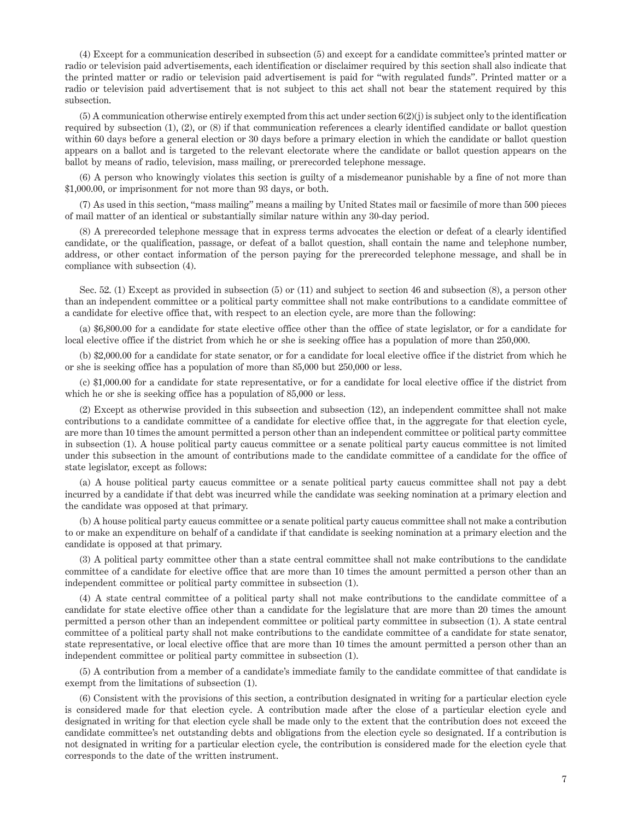(4) Except for a communication described in subsection (5) and except for a candidate committee's printed matter or radio or television paid advertisements, each identification or disclaimer required by this section shall also indicate that the printed matter or radio or television paid advertisement is paid for "with regulated funds". Printed matter or a radio or television paid advertisement that is not subject to this act shall not bear the statement required by this subsection.

(5) A communication otherwise entirely exempted from this act under section 6(2)(j) is subject only to the identification required by subsection (1), (2), or (8) if that communication references a clearly identified candidate or ballot question within 60 days before a general election or 30 days before a primary election in which the candidate or ballot question appears on a ballot and is targeted to the relevant electorate where the candidate or ballot question appears on the ballot by means of radio, television, mass mailing, or prerecorded telephone message.

(6) A person who knowingly violates this section is guilty of a misdemeanor punishable by a fine of not more than \$1,000.00, or imprisonment for not more than 93 days, or both.

(7) As used in this section, "mass mailing" means a mailing by United States mail or facsimile of more than 500 pieces of mail matter of an identical or substantially similar nature within any 30-day period.

(8) A prerecorded telephone message that in express terms advocates the election or defeat of a clearly identified candidate, or the qualification, passage, or defeat of a ballot question, shall contain the name and telephone number, address, or other contact information of the person paying for the prerecorded telephone message, and shall be in compliance with subsection (4).

Sec. 52. (1) Except as provided in subsection (5) or (11) and subject to section 46 and subsection (8), a person other than an independent committee or a political party committee shall not make contributions to a candidate committee of a candidate for elective office that, with respect to an election cycle, are more than the following:

(a) \$6,800.00 for a candidate for state elective office other than the office of state legislator, or for a candidate for local elective office if the district from which he or she is seeking office has a population of more than 250,000.

(b) \$2,000.00 for a candidate for state senator, or for a candidate for local elective office if the district from which he or she is seeking office has a population of more than 85,000 but 250,000 or less.

(c) \$1,000.00 for a candidate for state representative, or for a candidate for local elective office if the district from which he or she is seeking office has a population of 85,000 or less.

(2) Except as otherwise provided in this subsection and subsection (12), an independent committee shall not make contributions to a candidate committee of a candidate for elective office that, in the aggregate for that election cycle, are more than 10 times the amount permitted a person other than an independent committee or political party committee in subsection (1). A house political party caucus committee or a senate political party caucus committee is not limited under this subsection in the amount of contributions made to the candidate committee of a candidate for the office of state legislator, except as follows:

(a) A house political party caucus committee or a senate political party caucus committee shall not pay a debt incurred by a candidate if that debt was incurred while the candidate was seeking nomination at a primary election and the candidate was opposed at that primary.

(b) A house political party caucus committee or a senate political party caucus committee shall not make a contribution to or make an expenditure on behalf of a candidate if that candidate is seeking nomination at a primary election and the candidate is opposed at that primary.

(3) A political party committee other than a state central committee shall not make contributions to the candidate committee of a candidate for elective office that are more than 10 times the amount permitted a person other than an independent committee or political party committee in subsection (1).

(4) A state central committee of a political party shall not make contributions to the candidate committee of a candidate for state elective office other than a candidate for the legislature that are more than 20 times the amount permitted a person other than an independent committee or political party committee in subsection (1). A state central committee of a political party shall not make contributions to the candidate committee of a candidate for state senator, state representative, or local elective office that are more than 10 times the amount permitted a person other than an independent committee or political party committee in subsection (1).

(5) A contribution from a member of a candidate's immediate family to the candidate committee of that candidate is exempt from the limitations of subsection (1).

(6) Consistent with the provisions of this section, a contribution designated in writing for a particular election cycle is considered made for that election cycle. A contribution made after the close of a particular election cycle and designated in writing for that election cycle shall be made only to the extent that the contribution does not exceed the candidate committee's net outstanding debts and obligations from the election cycle so designated. If a contribution is not designated in writing for a particular election cycle, the contribution is considered made for the election cycle that corresponds to the date of the written instrument.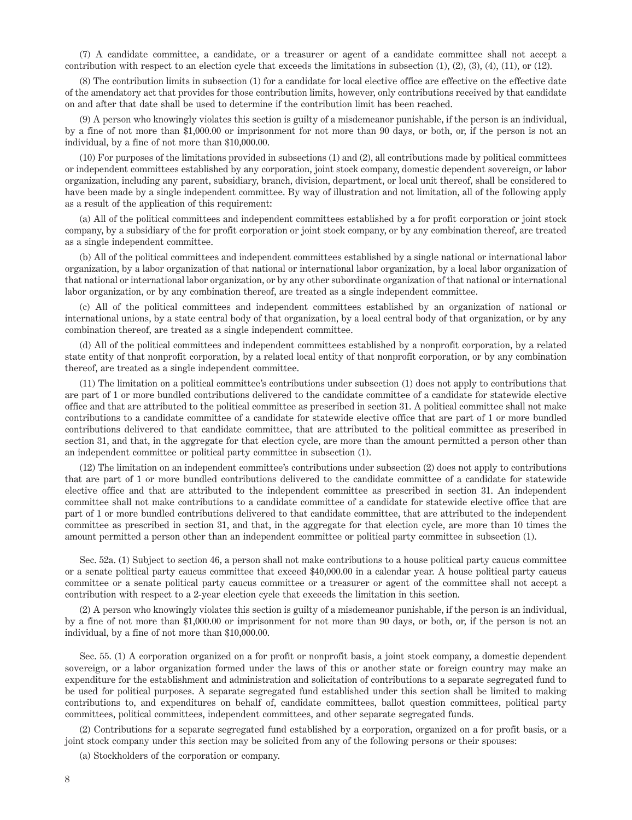(7) A candidate committee, a candidate, or a treasurer or agent of a candidate committee shall not accept a contribution with respect to an election cycle that exceeds the limitations in subsection  $(1)$ ,  $(2)$ ,  $(3)$ ,  $(4)$ ,  $(11)$ , or  $(12)$ .

(8) The contribution limits in subsection (1) for a candidate for local elective office are effective on the effective date of the amendatory act that provides for those contribution limits, however, only contributions received by that candidate on and after that date shall be used to determine if the contribution limit has been reached.

(9) A person who knowingly violates this section is guilty of a misdemeanor punishable, if the person is an individual, by a fine of not more than \$1,000.00 or imprisonment for not more than 90 days, or both, or, if the person is not an individual, by a fine of not more than \$10,000.00.

(10) For purposes of the limitations provided in subsections (1) and (2), all contributions made by political committees or independent committees established by any corporation, joint stock company, domestic dependent sovereign, or labor organization, including any parent, subsidiary, branch, division, department, or local unit thereof, shall be considered to have been made by a single independent committee. By way of illustration and not limitation, all of the following apply as a result of the application of this requirement:

(a) All of the political committees and independent committees established by a for profit corporation or joint stock company, by a subsidiary of the for profit corporation or joint stock company, or by any combination thereof, are treated as a single independent committee.

(b) All of the political committees and independent committees established by a single national or international labor organization, by a labor organization of that national or international labor organization, by a local labor organization of that national or international labor organization, or by any other subordinate organization of that national or international labor organization, or by any combination thereof, are treated as a single independent committee.

(c) All of the political committees and independent committees established by an organization of national or international unions, by a state central body of that organization, by a local central body of that organization, or by any combination thereof, are treated as a single independent committee.

(d) All of the political committees and independent committees established by a nonprofit corporation, by a related state entity of that nonprofit corporation, by a related local entity of that nonprofit corporation, or by any combination thereof, are treated as a single independent committee.

(11) The limitation on a political committee's contributions under subsection (1) does not apply to contributions that are part of 1 or more bundled contributions delivered to the candidate committee of a candidate for statewide elective office and that are attributed to the political committee as prescribed in section 31. A political committee shall not make contributions to a candidate committee of a candidate for statewide elective office that are part of 1 or more bundled contributions delivered to that candidate committee, that are attributed to the political committee as prescribed in section 31, and that, in the aggregate for that election cycle, are more than the amount permitted a person other than an independent committee or political party committee in subsection (1).

(12) The limitation on an independent committee's contributions under subsection (2) does not apply to contributions that are part of 1 or more bundled contributions delivered to the candidate committee of a candidate for statewide elective office and that are attributed to the independent committee as prescribed in section 31. An independent committee shall not make contributions to a candidate committee of a candidate for statewide elective office that are part of 1 or more bundled contributions delivered to that candidate committee, that are attributed to the independent committee as prescribed in section 31, and that, in the aggregate for that election cycle, are more than 10 times the amount permitted a person other than an independent committee or political party committee in subsection (1).

Sec. 52a. (1) Subject to section 46, a person shall not make contributions to a house political party caucus committee or a senate political party caucus committee that exceed \$40,000.00 in a calendar year. A house political party caucus committee or a senate political party caucus committee or a treasurer or agent of the committee shall not accept a contribution with respect to a 2-year election cycle that exceeds the limitation in this section.

(2) A person who knowingly violates this section is guilty of a misdemeanor punishable, if the person is an individual, by a fine of not more than \$1,000.00 or imprisonment for not more than 90 days, or both, or, if the person is not an individual, by a fine of not more than \$10,000.00.

Sec. 55. (1) A corporation organized on a for profit or nonprofit basis, a joint stock company, a domestic dependent sovereign, or a labor organization formed under the laws of this or another state or foreign country may make an expenditure for the establishment and administration and solicitation of contributions to a separate segregated fund to be used for political purposes. A separate segregated fund established under this section shall be limited to making contributions to, and expenditures on behalf of, candidate committees, ballot question committees, political party committees, political committees, independent committees, and other separate segregated funds.

(2) Contributions for a separate segregated fund established by a corporation, organized on a for profit basis, or a joint stock company under this section may be solicited from any of the following persons or their spouses:

(a) Stockholders of the corporation or company.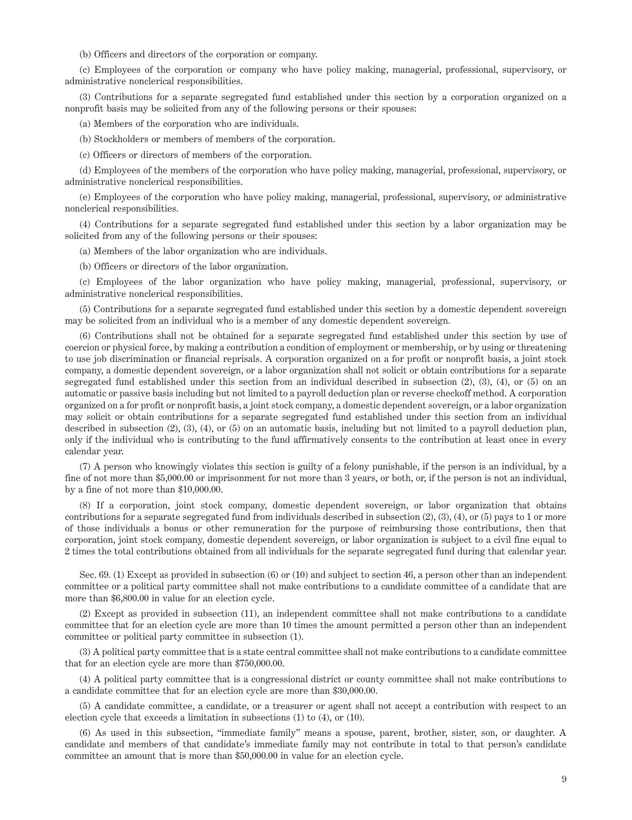(b) Officers and directors of the corporation or company.

(c) Employees of the corporation or company who have policy making, managerial, professional, supervisory, or administrative nonclerical responsibilities.

(3) Contributions for a separate segregated fund established under this section by a corporation organized on a nonprofit basis may be solicited from any of the following persons or their spouses:

(a) Members of the corporation who are individuals.

(b) Stockholders or members of members of the corporation.

(c) Officers or directors of members of the corporation.

(d) Employees of the members of the corporation who have policy making, managerial, professional, supervisory, or administrative nonclerical responsibilities.

(e) Employees of the corporation who have policy making, managerial, professional, supervisory, or administrative nonclerical responsibilities.

(4) Contributions for a separate segregated fund established under this section by a labor organization may be solicited from any of the following persons or their spouses:

(a) Members of the labor organization who are individuals.

(b) Officers or directors of the labor organization.

(c) Employees of the labor organization who have policy making, managerial, professional, supervisory, or administrative nonclerical responsibilities.

(5) Contributions for a separate segregated fund established under this section by a domestic dependent sovereign may be solicited from an individual who is a member of any domestic dependent sovereign.

(6) Contributions shall not be obtained for a separate segregated fund established under this section by use of coercion or physical force, by making a contribution a condition of employment or membership, or by using or threatening to use job discrimination or financial reprisals. A corporation organized on a for profit or nonprofit basis, a joint stock company, a domestic dependent sovereign, or a labor organization shall not solicit or obtain contributions for a separate segregated fund established under this section from an individual described in subsection (2), (3), (4), or (5) on an automatic or passive basis including but not limited to a payroll deduction plan or reverse checkoff method. A corporation organized on a for profit or nonprofit basis, a joint stock company, a domestic dependent sovereign, or a labor organization may solicit or obtain contributions for a separate segregated fund established under this section from an individual described in subsection (2), (3), (4), or (5) on an automatic basis, including but not limited to a payroll deduction plan, only if the individual who is contributing to the fund affirmatively consents to the contribution at least once in every calendar year.

(7) A person who knowingly violates this section is guilty of a felony punishable, if the person is an individual, by a fine of not more than \$5,000.00 or imprisonment for not more than 3 years, or both, or, if the person is not an individual, by a fine of not more than \$10,000.00.

(8) If a corporation, joint stock company, domestic dependent sovereign, or labor organization that obtains contributions for a separate segregated fund from individuals described in subsection  $(2)$ ,  $(3)$ ,  $(4)$ , or  $(5)$  pays to 1 or more of those individuals a bonus or other remuneration for the purpose of reimbursing those contributions, then that corporation, joint stock company, domestic dependent sovereign, or labor organization is subject to a civil fine equal to 2 times the total contributions obtained from all individuals for the separate segregated fund during that calendar year.

Sec. 69. (1) Except as provided in subsection (6) or (10) and subject to section 46, a person other than an independent committee or a political party committee shall not make contributions to a candidate committee of a candidate that are more than \$6,800.00 in value for an election cycle.

(2) Except as provided in subsection (11), an independent committee shall not make contributions to a candidate committee that for an election cycle are more than 10 times the amount permitted a person other than an independent committee or political party committee in subsection (1).

(3) A political party committee that is a state central committee shall not make contributions to a candidate committee that for an election cycle are more than \$750,000.00.

(4) A political party committee that is a congressional district or county committee shall not make contributions to a candidate committee that for an election cycle are more than \$30,000.00.

(5) A candidate committee, a candidate, or a treasurer or agent shall not accept a contribution with respect to an election cycle that exceeds a limitation in subsections (1) to (4), or (10).

(6) As used in this subsection, "immediate family" means a spouse, parent, brother, sister, son, or daughter. A candidate and members of that candidate's immediate family may not contribute in total to that person's candidate committee an amount that is more than \$50,000.00 in value for an election cycle.